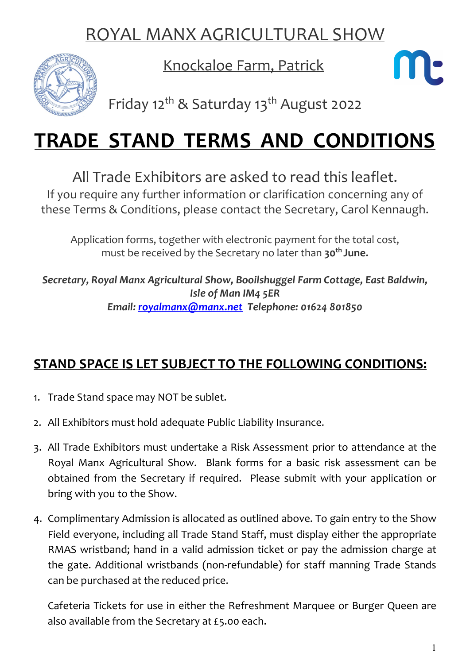## ROYAL MANX AGRICULTURAL SHOW



Knockaloe Farm, Patrick



Friday 12<sup>th</sup> & Saturday 13<sup>th</sup> August 2022

# TRADE STAND TERMS AND CONDITIONS

All Trade Exhibitors are asked to read this leaflet.

If you require any further information or clarification concerning any of these Terms & Conditions, please contact the Secretary, Carol Kennaugh.

Application forms, together with electronic payment for the total cost, must be received by the Secretary no later than 30<sup>th</sup> June.

Secretary, Royal Manx Agricultural Show, Booilshuggel Farm Cottage, East Baldwin, Isle of Man IM4 5ER Email: royalmanx@manx.net Telephone: 01624 801850

#### STAND SPACE IS LET SUBJECT TO THE FOLLOWING CONDITIONS:

- 1. Trade Stand space may NOT be sublet.
- 2. All Exhibitors must hold adequate Public Liability Insurance.
- 3. All Trade Exhibitors must undertake a Risk Assessment prior to attendance at the Royal Manx Agricultural Show. Blank forms for a basic risk assessment can be obtained from the Secretary if required. Please submit with your application or bring with you to the Show.
- 4. Complimentary Admission is allocated as outlined above. To gain entry to the Show Field everyone, including all Trade Stand Staff, must display either the appropriate RMAS wristband; hand in a valid admission ticket or pay the admission charge at the gate. Additional wristbands (non-refundable) for staff manning Trade Stands can be purchased at the reduced price.

Cafeteria Tickets for use in either the Refreshment Marquee or Burger Queen are also available from the Secretary at £5.00 each.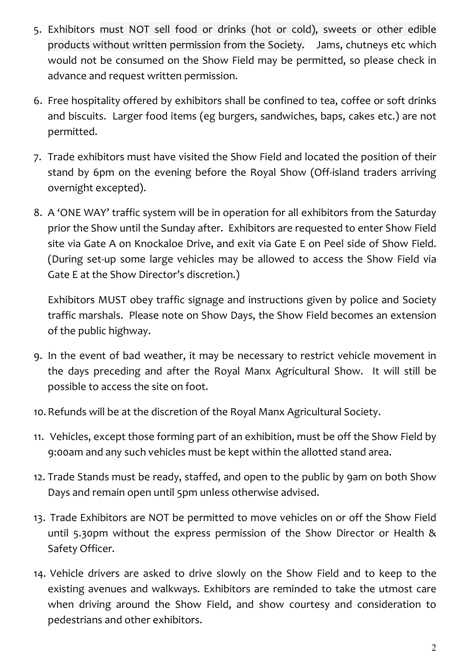- 5. Exhibitors must NOT sell food or drinks (hot or cold), sweets or other edible products without written permission from the Society. Jams, chutneys etc which would not be consumed on the Show Field may be permitted, so please check in advance and request written permission.
- 6. Free hospitality offered by exhibitors shall be confined to tea, coffee or soft drinks and biscuits. Larger food items (eg burgers, sandwiches, baps, cakes etc.) are not permitted.
- 7. Trade exhibitors must have visited the Show Field and located the position of their stand by 6pm on the evening before the Royal Show (Off-island traders arriving overnight excepted).
- 8. A 'ONE WAY' traffic system will be in operation for all exhibitors from the Saturday prior the Show until the Sunday after. Exhibitors are requested to enter Show Field site via Gate A on Knockaloe Drive, and exit via Gate E on Peel side of Show Field. (During set-up some large vehicles may be allowed to access the Show Field via Gate E at the Show Director's discretion.)

Exhibitors MUST obey traffic signage and instructions given by police and Society traffic marshals. Please note on Show Days, the Show Field becomes an extension of the public highway.

- 9. In the event of bad weather, it may be necessary to restrict vehicle movement in the days preceding and after the Royal Manx Agricultural Show. It will still be possible to access the site on foot.
- 10.Refunds will be at the discretion of the Royal Manx Agricultural Society.
- 11. Vehicles, except those forming part of an exhibition, must be off the Show Field by 9:00am and any such vehicles must be kept within the allotted stand area.
- 12. Trade Stands must be ready, staffed, and open to the public by 9am on both Show Days and remain open until 5pm unless otherwise advised.
- 13. Trade Exhibitors are NOT be permitted to move vehicles on or off the Show Field until 5.30pm without the express permission of the Show Director or Health & Safety Officer.
- 14. Vehicle drivers are asked to drive slowly on the Show Field and to keep to the existing avenues and walkways. Exhibitors are reminded to take the utmost care when driving around the Show Field, and show courtesy and consideration to pedestrians and other exhibitors.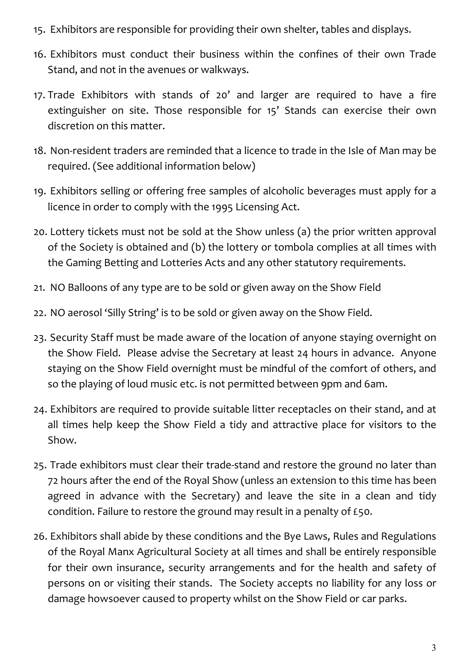- 15. Exhibitors are responsible for providing their own shelter, tables and displays.
- 16. Exhibitors must conduct their business within the confines of their own Trade Stand, and not in the avenues or walkways.
- 17. Trade Exhibitors with stands of 20' and larger are required to have a fire extinguisher on site. Those responsible for 15' Stands can exercise their own discretion on this matter.
- 18. Non-resident traders are reminded that a licence to trade in the Isle of Man may be required. (See additional information below)
- 19. Exhibitors selling or offering free samples of alcoholic beverages must apply for a licence in order to comply with the 1995 Licensing Act.
- 20. Lottery tickets must not be sold at the Show unless (a) the prior written approval of the Society is obtained and (b) the lottery or tombola complies at all times with the Gaming Betting and Lotteries Acts and any other statutory requirements.
- 21. NO Balloons of any type are to be sold or given away on the Show Field
- 22. NO aerosol 'Silly String' is to be sold or given away on the Show Field.
- 23. Security Staff must be made aware of the location of anyone staying overnight on the Show Field. Please advise the Secretary at least 24 hours in advance. Anyone staying on the Show Field overnight must be mindful of the comfort of others, and so the playing of loud music etc. is not permitted between 9pm and 6am.
- 24. Exhibitors are required to provide suitable litter receptacles on their stand, and at all times help keep the Show Field a tidy and attractive place for visitors to the Show.
- 25. Trade exhibitors must clear their trade-stand and restore the ground no later than 72 hours after the end of the Royal Show (unless an extension to this time has been agreed in advance with the Secretary) and leave the site in a clean and tidy condition. Failure to restore the ground may result in a penalty of £50.
- 26. Exhibitors shall abide by these conditions and the Bye Laws, Rules and Regulations of the Royal Manx Agricultural Society at all times and shall be entirely responsible for their own insurance, security arrangements and for the health and safety of persons on or visiting their stands. The Society accepts no liability for any loss or damage howsoever caused to property whilst on the Show Field or car parks.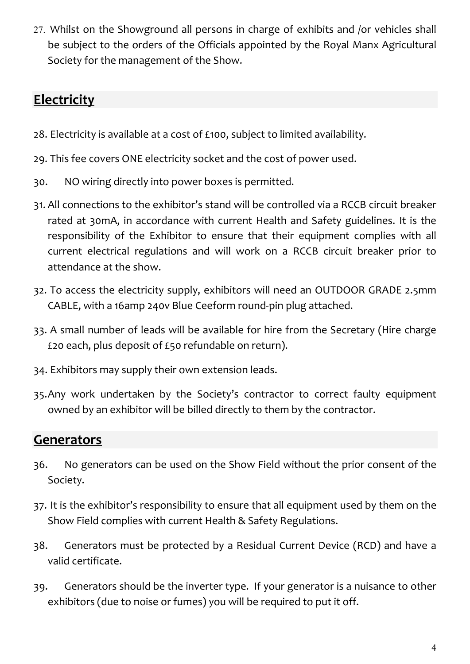27. Whilst on the Showground all persons in charge of exhibits and /or vehicles shall be subject to the orders of the Officials appointed by the Royal Manx Agricultural Society for the management of the Show.

## **Electricity**

- 28. Electricity is available at a cost of £100, subject to limited availability.
- 29. This fee covers ONE electricity socket and the cost of power used.
- 30. NO wiring directly into power boxes is permitted.
- 31. All connections to the exhibitor's stand will be controlled via a RCCB circuit breaker rated at 30mA, in accordance with current Health and Safety guidelines. It is the responsibility of the Exhibitor to ensure that their equipment complies with all current electrical regulations and will work on a RCCB circuit breaker prior to attendance at the show.
- 32. To access the electricity supply, exhibitors will need an OUTDOOR GRADE 2.5mm CABLE, with a 16amp 240v Blue Ceeform round-pin plug attached.
- 33. A small number of leads will be available for hire from the Secretary (Hire charge £20 each, plus deposit of £50 refundable on return).
- 34. Exhibitors may supply their own extension leads.
- 35.Any work undertaken by the Society's contractor to correct faulty equipment owned by an exhibitor will be billed directly to them by the contractor.

## **Generators**

- 36. No generators can be used on the Show Field without the prior consent of the Society.
- 37. It is the exhibitor's responsibility to ensure that all equipment used by them on the Show Field complies with current Health & Safety Regulations.
- 38. Generators must be protected by a Residual Current Device (RCD) and have a valid certificate.
- 39. Generators should be the inverter type. If your generator is a nuisance to other exhibitors (due to noise or fumes) you will be required to put it off.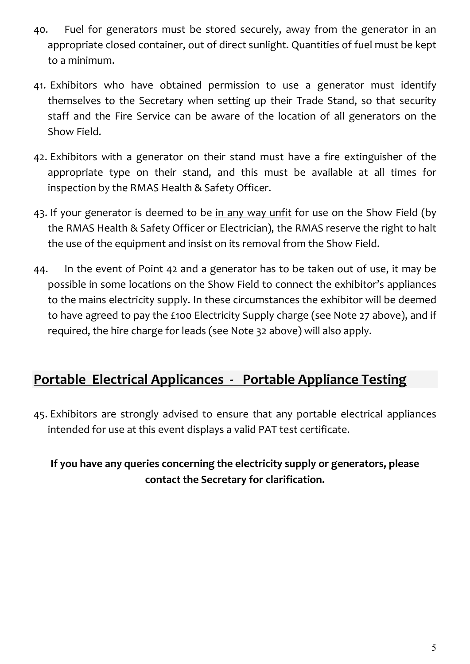- 40. Fuel for generators must be stored securely, away from the generator in an appropriate closed container, out of direct sunlight. Quantities of fuel must be kept to a minimum.
- 41. Exhibitors who have obtained permission to use a generator must identify themselves to the Secretary when setting up their Trade Stand, so that security staff and the Fire Service can be aware of the location of all generators on the Show Field.
- 42. Exhibitors with a generator on their stand must have a fire extinguisher of the appropriate type on their stand, and this must be available at all times for inspection by the RMAS Health & Safety Officer.
- 43. If your generator is deemed to be in any way unfit for use on the Show Field (by the RMAS Health & Safety Officer or Electrician), the RMAS reserve the right to halt the use of the equipment and insist on its removal from the Show Field.
- 44. In the event of Point 42 and a generator has to be taken out of use, it may be possible in some locations on the Show Field to connect the exhibitor's appliances to the mains electricity supply. In these circumstances the exhibitor will be deemed to have agreed to pay the £100 Electricity Supply charge (see Note 27 above), and if required, the hire charge for leads (see Note 32 above) will also apply.

#### Portable Electrical Applicances - Portable Appliance Testing

45. Exhibitors are strongly advised to ensure that any portable electrical appliances intended for use at this event displays a valid PAT test certificate.

#### If you have any queries concerning the electricity supply or generators, please contact the Secretary for clarification.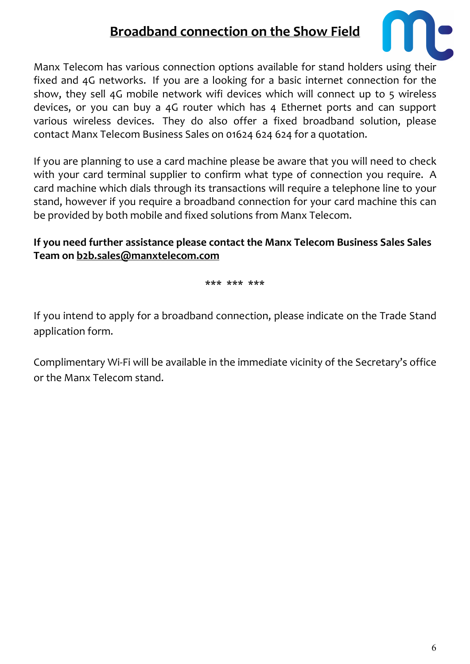## Broadband connection on the Show Field



Manx Telecom has various connection options available for stand holders using their fixed and 4G networks. If you are a looking for a basic internet connection for the show, they sell 4G mobile network wifi devices which will connect up to 5 wireless devices, or you can buy a 4G router which has 4 Ethernet ports and can support various wireless devices. They do also offer a fixed broadband solution, please contact Manx Telecom Business Sales on 01624 624 624 for a quotation.

If you are planning to use a card machine please be aware that you will need to check with your card terminal supplier to confirm what type of connection you require. A card machine which dials through its transactions will require a telephone line to your stand, however if you require a broadband connection for your card machine this can be provided by both mobile and fixed solutions from Manx Telecom.

#### If you need further assistance please contact the Manx Telecom Business Sales Sales Team on b2b.sales@manxtelecom.com

\*\*\* \*\*\* \*\*\*

If you intend to apply for a broadband connection, please indicate on the Trade Stand application form.

Complimentary Wi-Fi will be available in the immediate vicinity of the Secretary's office or the Manx Telecom stand.